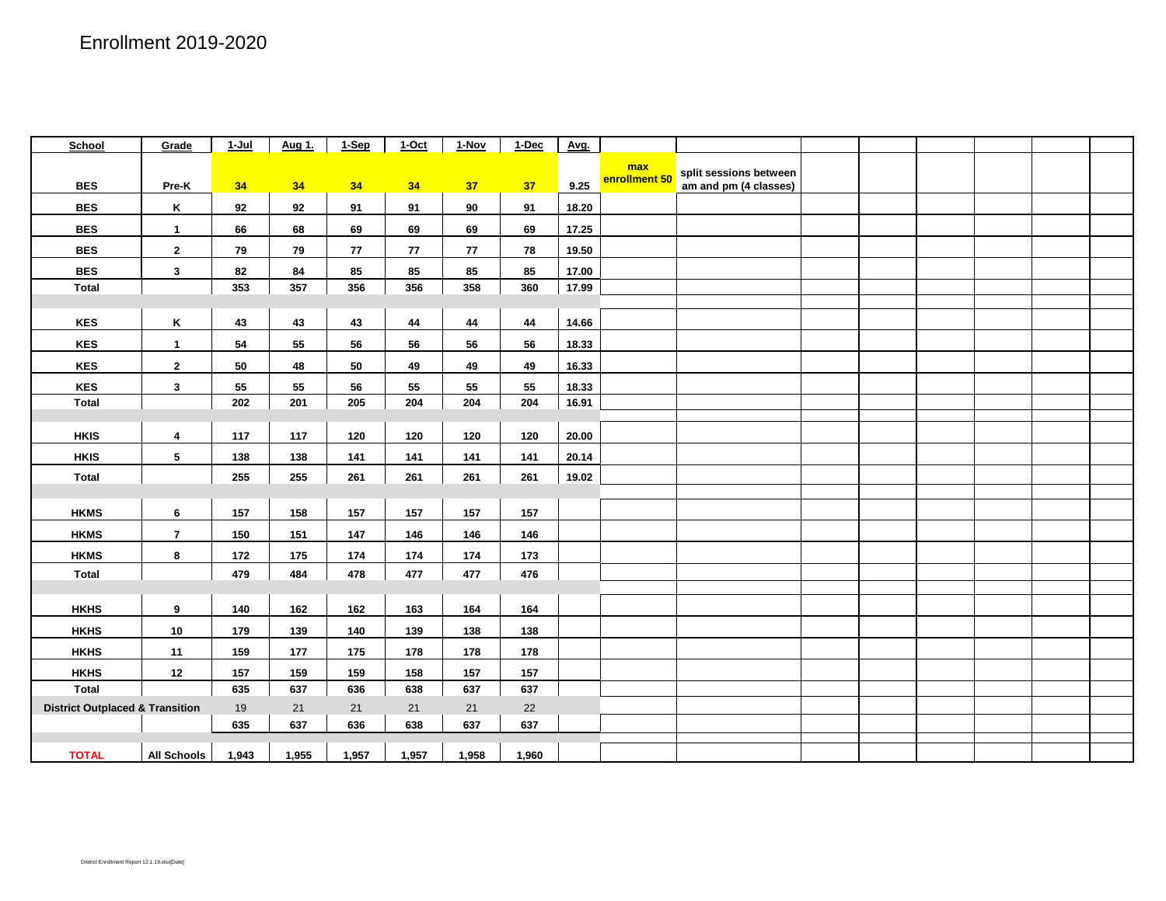| School                                     | Grade                   | 1-Jul | Aug 1. | $1-Sep$ | $1-Oct$ | 1-Nov | $1$ -Dec | Avg.  |               |                        |  |  |  |
|--------------------------------------------|-------------------------|-------|--------|---------|---------|-------|----------|-------|---------------|------------------------|--|--|--|
|                                            |                         |       |        |         |         |       |          |       | max           | split sessions between |  |  |  |
| <b>BES</b>                                 | Pre-K                   | 34    | 34     | 34      | 34      | 37    | 37       | 9.25  | enrollment 50 | am and pm (4 classes)  |  |  |  |
| <b>BES</b>                                 | Κ                       | 92    | 92     | 91      | 91      | 90    | 91       | 18.20 |               |                        |  |  |  |
| <b>BES</b>                                 | $\mathbf{1}$            | 66    | 68     | 69      | 69      | 69    | 69       | 17.25 |               |                        |  |  |  |
| <b>BES</b>                                 | $\overline{2}$          | 79    | 79     | 77      | 77      | 77    | 78       | 19.50 |               |                        |  |  |  |
| <b>BES</b>                                 | $\mathbf{3}$            | 82    | 84     | 85      | 85      | 85    | 85       | 17.00 |               |                        |  |  |  |
| <b>Total</b>                               |                         | 353   | 357    | 356     | 356     | 358   | 360      | 17.99 |               |                        |  |  |  |
|                                            |                         |       |        |         |         |       |          |       |               |                        |  |  |  |
| <b>KES</b>                                 | K                       | 43    | 43     | 43      | 44      | 44    | 44       | 14.66 |               |                        |  |  |  |
| <b>KES</b>                                 | $\mathbf{1}$            | 54    | 55     | 56      | 56      | 56    | 56       | 18.33 |               |                        |  |  |  |
| <b>KES</b>                                 | $\overline{2}$          | 50    | 48     | 50      | 49      | 49    | 49       | 16.33 |               |                        |  |  |  |
| KES                                        | $\mathbf{3}$            | 55    | 55     | 56      | 55      | 55    | 55       | 18.33 |               |                        |  |  |  |
| Total                                      |                         | 202   | 201    | 205     | 204     | 204   | 204      | 16.91 |               |                        |  |  |  |
|                                            |                         |       |        |         |         |       |          |       |               |                        |  |  |  |
| <b>HKIS</b>                                | $\overline{\mathbf{4}}$ | 117   | 117    | 120     | 120     | 120   | 120      | 20.00 |               |                        |  |  |  |
| <b>HKIS</b>                                | $5\phantom{.0}$         | 138   | 138    | 141     | 141     | 141   | 141      | 20.14 |               |                        |  |  |  |
| <b>Total</b>                               |                         | 255   | 255    | 261     | 261     | 261   | 261      | 19.02 |               |                        |  |  |  |
|                                            |                         |       |        |         |         |       |          |       |               |                        |  |  |  |
| <b>HKMS</b>                                | 6                       | 157   | 158    | 157     | 157     | 157   | 157      |       |               |                        |  |  |  |
| <b>HKMS</b>                                | $\overline{7}$          | 150   | 151    | 147     | 146     | 146   | 146      |       |               |                        |  |  |  |
| <b>HKMS</b>                                | 8                       | 172   | 175    | 174     | 174     | 174   | 173      |       |               |                        |  |  |  |
| <b>Total</b>                               |                         | 479   | 484    | 478     | 477     | 477   | 476      |       |               |                        |  |  |  |
|                                            |                         |       |        |         |         |       |          |       |               |                        |  |  |  |
| <b>HKHS</b>                                | 9                       | 140   | 162    | 162     | 163     | 164   | 164      |       |               |                        |  |  |  |
| <b>HKHS</b>                                | 10                      | 179   | 139    | 140     | 139     | 138   | 138      |       |               |                        |  |  |  |
| <b>HKHS</b>                                | 11                      | 159   | 177    | 175     | 178     | 178   | 178      |       |               |                        |  |  |  |
| <b>HKHS</b>                                | 12                      | 157   | 159    | 159     | 158     | 157   | 157      |       |               |                        |  |  |  |
| <b>Total</b>                               |                         | 635   | 637    | 636     | 638     | 637   | 637      |       |               |                        |  |  |  |
| <b>District Outplaced &amp; Transition</b> |                         | 19    | 21     | 21      | 21      | 21    | 22       |       |               |                        |  |  |  |
|                                            |                         | 635   | 637    | 636     | 638     | 637   | 637      |       |               |                        |  |  |  |
| <b>TOTAL</b>                               | <b>All Schools</b>      | 1,943 | 1,955  | 1,957   | 1,957   | 1,958 | 1,960    |       |               |                        |  |  |  |
|                                            |                         |       |        |         |         |       |          |       |               |                        |  |  |  |